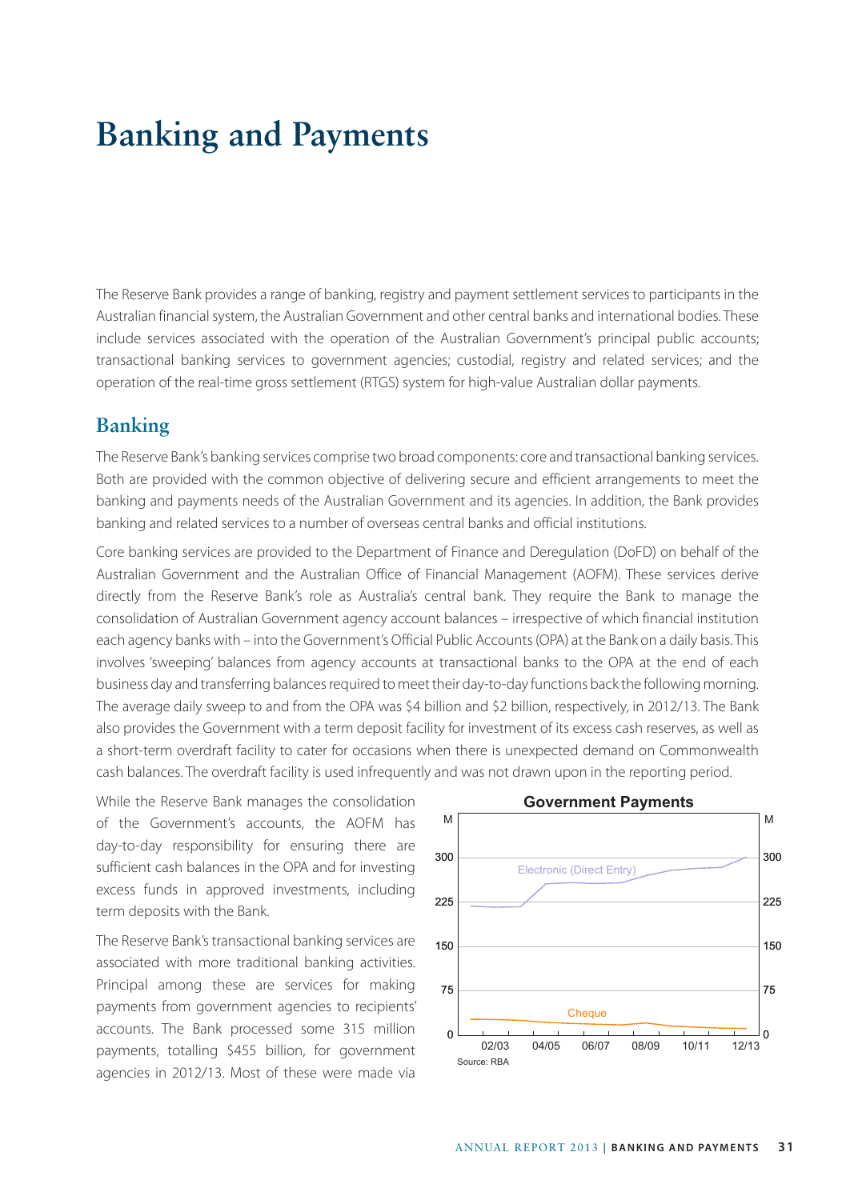## **Banking and Payments**

The Reserve Bank provides a range of banking, registry and payment settlement services to participants in the Australian financial system, the Australian Government and other central banks and international bodies. These include services associated with the operation of the Australian Government's principal public accounts; transactional banking services to government agencies; custodial, registry and related services; and the operation of the real-time gross settlement (RTGS) system for high-value Australian dollar payments.

## **Banking**

The Reserve Bank's banking services comprise two broad components: core and transactional banking services. Both are provided with the common objective of delivering secure and efficient arrangements to meet the banking and payments needs of the Australian Government and its agencies. In addition, the Bank provides banking and related services to a number of overseas central banks and official institutions.

Core banking services are provided to the Department of Finance and Deregulation (DoFD) on behalf of the Australian Government and the Australian Office of Financial Management (AOFM). These services derive directly from the Reserve Bank's role as Australia's central bank. They require the Bank to manage the consolidation of Australian Government agency account balances – irrespective of which financial institution each agency banks with – into the Government's Official Public Accounts (OPA) at the Bank on a daily basis. This involves 'sweeping' balances from agency accounts at transactional banks to the OPA at the end of each business day and transferring balances required to meet their day-to-day functions back the following morning. The average daily sweep to and from the OPA was \$4 billion and \$2 billion, respectively, in 2012/13. The Bank also provides the Government with a term deposit facility for investment of its excess cash reserves, as well as a short-term overdraft facility to cater for occasions when there is unexpected demand on Commonwealth cash balances. The overdraft facility is used infrequently and was not drawn upon in the reporting period.

While the Reserve Bank manages the consolidation of the Government's accounts, the AOFM has day-to-day responsibility for ensuring there are sufficient cash balances in the OPA and for investing excess funds in approved investments, including term deposits with the Bank.

The Reserve Bank's transactional banking services are associated with more traditional banking activities. Principal among these are services for making payments from government agencies to recipients' accounts. The Bank processed some 315 million payments, totalling \$455 billion, for government agencies in 2012/13. Most of these were made via

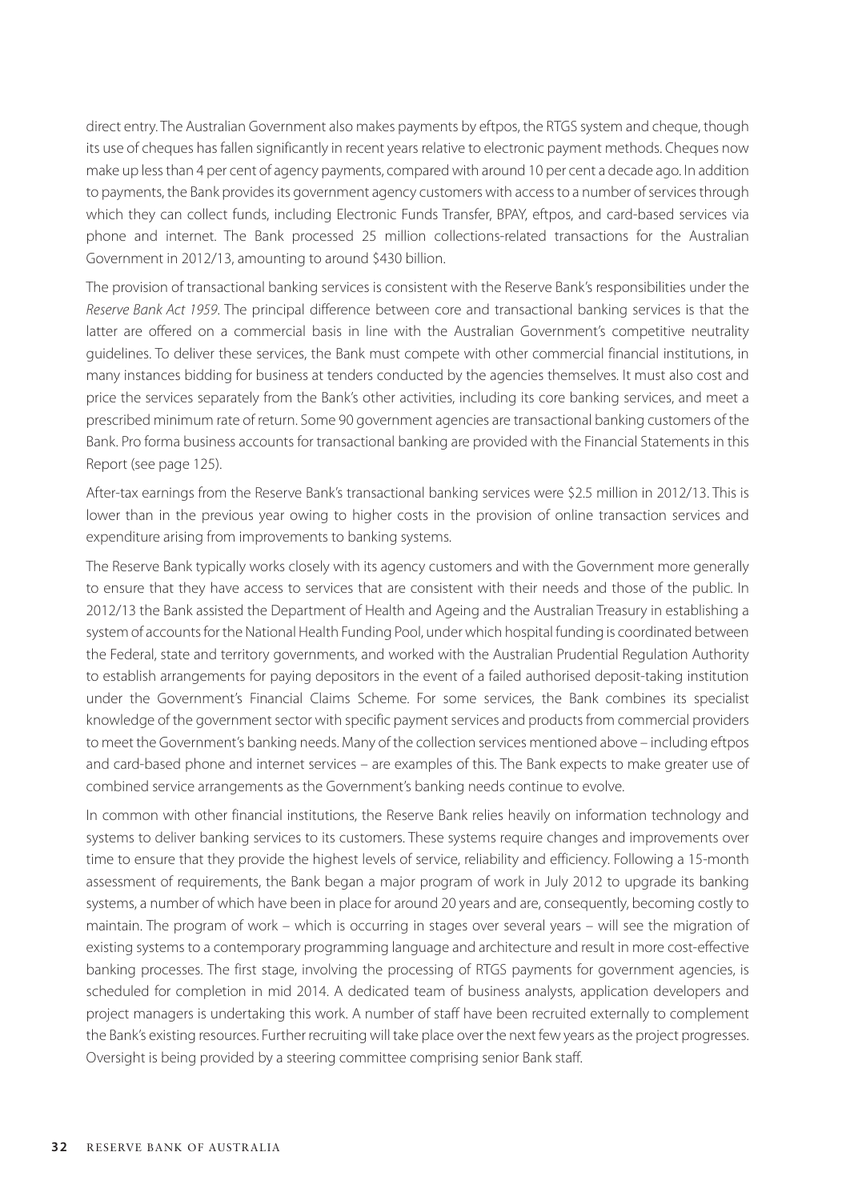direct entry. The Australian Government also makes payments by eftpos, the RTGS system and cheque, though its use of cheques has fallen significantly in recent years relative to electronic payment methods. Cheques now make up less than 4 per cent of agency payments, compared with around 10 per cent a decade ago. In addition to payments, the Bank provides its government agency customers with access to a number of services through which they can collect funds, including Electronic Funds Transfer, BPAY, eftpos, and card-based services via phone and internet. The Bank processed 25 million collections-related transactions for the Australian Government in 2012/13, amounting to around \$430 billion.

The provision of transactional banking services is consistent with the Reserve Bank's responsibilities under the *Reserve Bank Act 1959*. The principal difference between core and transactional banking services is that the latter are offered on a commercial basis in line with the Australian Government's competitive neutrality guidelines. To deliver these services, the Bank must compete with other commercial financial institutions, in many instances bidding for business at tenders conducted by the agencies themselves. It must also cost and price the services separately from the Bank's other activities, including its core banking services, and meet a prescribed minimum rate of return. Some 90 government agencies are transactional banking customers of the Bank. Pro forma business accounts for transactional banking are provided with the Financial Statements in this Report (see page 125).

After-tax earnings from the Reserve Bank's transactional banking services were \$2.5 million in 2012/13. This is lower than in the previous year owing to higher costs in the provision of online transaction services and expenditure arising from improvements to banking systems.

The Reserve Bank typically works closely with its agency customers and with the Government more generally to ensure that they have access to services that are consistent with their needs and those of the public. In 2012/13 the Bank assisted the Department of Health and Ageing and the Australian Treasury in establishing a system of accounts for the National Health Funding Pool, under which hospital funding is coordinated between the Federal, state and territory governments, and worked with the Australian Prudential Regulation Authority to establish arrangements for paying depositors in the event of a failed authorised deposit-taking institution under the Government's Financial Claims Scheme. For some services, the Bank combines its specialist knowledge of the government sector with specific payment services and products from commercial providers to meet the Government's banking needs. Many of the collection services mentioned above – including eftpos and card-based phone and internet services – are examples of this. The Bank expects to make greater use of combined service arrangements as the Government's banking needs continue to evolve.

In common with other financial institutions, the Reserve Bank relies heavily on information technology and systems to deliver banking services to its customers. These systems require changes and improvements over time to ensure that they provide the highest levels of service, reliability and efficiency. Following a 15-month assessment of requirements, the Bank began a major program of work in July 2012 to upgrade its banking systems, a number of which have been in place for around 20 years and are, consequently, becoming costly to maintain. The program of work – which is occurring in stages over several years – will see the migration of existing systems to a contemporary programming language and architecture and result in more cost-effective banking processes. The first stage, involving the processing of RTGS payments for government agencies, is scheduled for completion in mid 2014. A dedicated team of business analysts, application developers and project managers is undertaking this work. A number of staff have been recruited externally to complement the Bank's existing resources. Further recruiting will take place over the next few years as the project progresses. Oversight is being provided by a steering committee comprising senior Bank staff.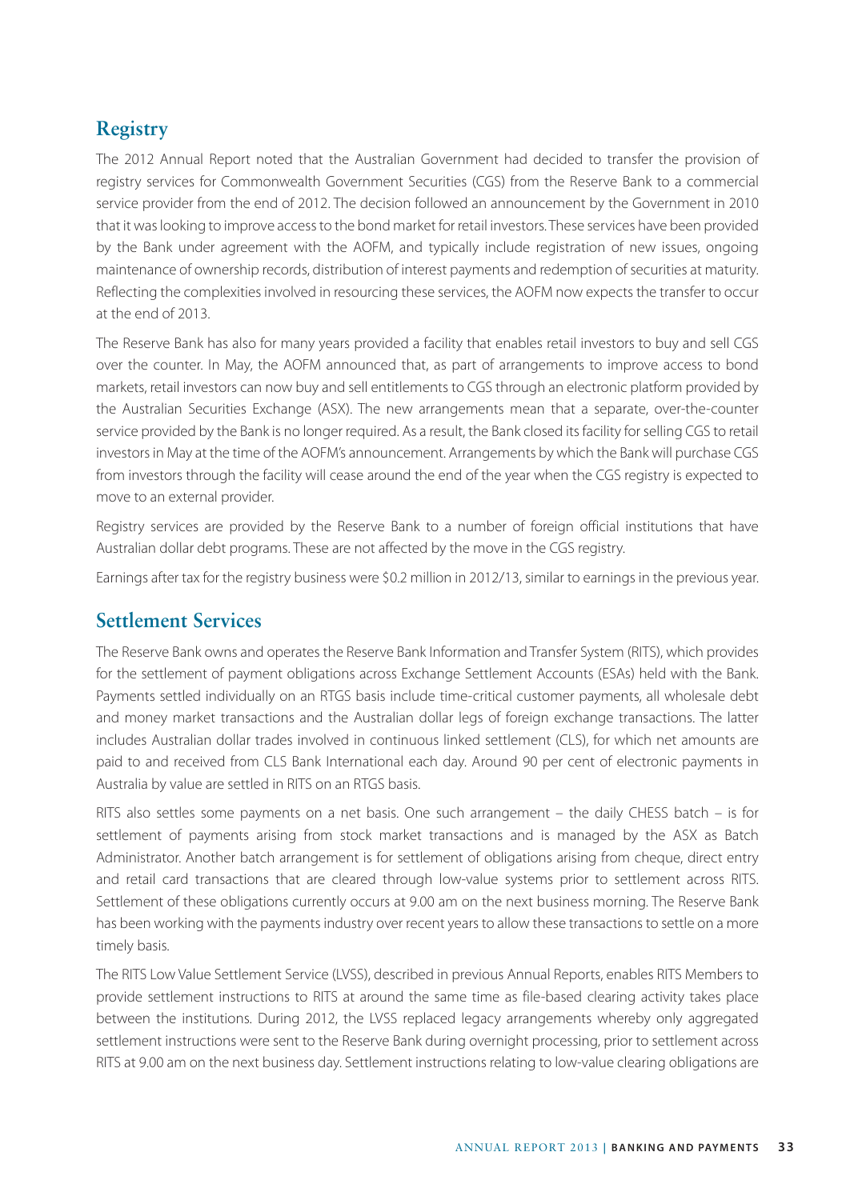## **Registry**

The 2012 Annual Report noted that the Australian Government had decided to transfer the provision of registry services for Commonwealth Government Securities (CGS) from the Reserve Bank to a commercial service provider from the end of 2012. The decision followed an announcement by the Government in 2010 that it was looking to improve access to the bond market for retail investors. These services have been provided by the Bank under agreement with the AOFM, and typically include registration of new issues, ongoing maintenance of ownership records, distribution of interest payments and redemption of securities at maturity. Reflecting the complexities involved in resourcing these services, the AOFM now expects the transfer to occur at the end of 2013.

The Reserve Bank has also for many years provided a facility that enables retail investors to buy and sell CGS over the counter. In May, the AOFM announced that, as part of arrangements to improve access to bond markets, retail investors can now buy and sell entitlements to CGS through an electronic platform provided by the Australian Securities Exchange (ASX). The new arrangements mean that a separate, over-the-counter service provided by the Bank is no longer required. As a result, the Bank closed its facility for selling CGS to retail investors in May at the time of the AOFM's announcement. Arrangements by which the Bank will purchase CGS from investors through the facility will cease around the end of the year when the CGS registry is expected to move to an external provider.

Registry services are provided by the Reserve Bank to a number of foreign official institutions that have Australian dollar debt programs. These are not affected by the move in the CGS registry.

Earnings after tax for the registry business were \$0.2 million in 2012/13, similar to earnings in the previous year.

## **Settlement Services**

The Reserve Bank owns and operates the Reserve Bank Information and Transfer System (RITS), which provides for the settlement of payment obligations across Exchange Settlement Accounts (ESAs) held with the Bank. Payments settled individually on an RTGS basis include time-critical customer payments, all wholesale debt and money market transactions and the Australian dollar legs of foreign exchange transactions. The latter includes Australian dollar trades involved in continuous linked settlement (CLS), for which net amounts are paid to and received from CLS Bank International each day. Around 90 per cent of electronic payments in Australia by value are settled in RITS on an RTGS basis.

RITS also settles some payments on a net basis. One such arrangement – the daily CHESS batch – is for settlement of payments arising from stock market transactions and is managed by the ASX as Batch Administrator. Another batch arrangement is for settlement of obligations arising from cheque, direct entry and retail card transactions that are cleared through low-value systems prior to settlement across RITS. Settlement of these obligations currently occurs at 9.00 am on the next business morning. The Reserve Bank has been working with the payments industry over recent years to allow these transactions to settle on a more timely basis.

The RITS Low Value Settlement Service (LVSS), described in previous Annual Reports, enables RITS Members to provide settlement instructions to RITS at around the same time as file-based clearing activity takes place between the institutions. During 2012, the LVSS replaced legacy arrangements whereby only aggregated settlement instructions were sent to the Reserve Bank during overnight processing, prior to settlement across RITS at 9.00 am on the next business day. Settlement instructions relating to low-value clearing obligations are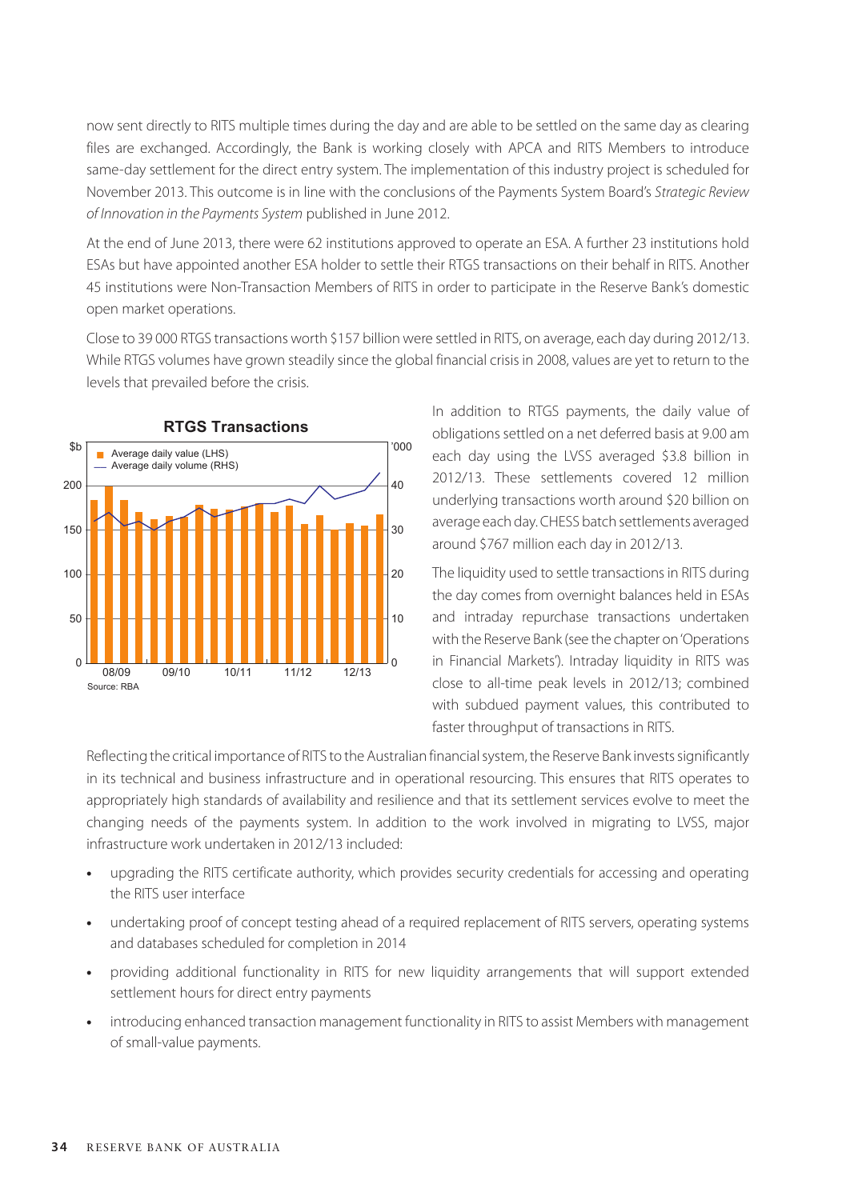now sent directly to RITS multiple times during the day and are able to be settled on the same day as clearing files are exchanged. Accordingly, the Bank is working closely with APCA and RITS Members to introduce same-day settlement for the direct entry system. The implementation of this industry project is scheduled for November 2013. This outcome is in line with the conclusions of the Payments System Board's *Strategic Review of Innovation in the Payments System* published in June 2012.

At the end of June 2013, there were 62 institutions approved to operate an ESA. A further 23 institutions hold ESAs but have appointed another ESA holder to settle their RTGS transactions on their behalf in RITS. Another 45 institutions were Non-Transaction Members of RITS in order to participate in the Reserve Bank's domestic open market operations.

Close to 39 000 RTGS transactions worth \$157 billion were settled in RITS, on average, each day during 2012/13. While RTGS volumes have grown steadily since the global financial crisis in 2008, values are yet to return to the levels that prevailed before the crisis.



In addition to RTGS payments, the daily value of obligations settled on a net deferred basis at 9.00 am each day using the LVSS averaged \$3.8 billion in 2012/13. These settlements covered 12 million underlying transactions worth around \$20 billion on average each day. CHESS batch settlements averaged around \$767 million each day in 2012/13.

The liquidity used to settle transactions in RITS during the day comes from overnight balances held in ESAs and intraday repurchase transactions undertaken with the Reserve Bank (see the chapter on 'Operations in Financial Markets'). Intraday liquidity in RITS was close to all-time peak levels in 2012/13; combined with subdued payment values, this contributed to faster throughput of transactions in RITS.

Reflecting the critical importance of RITS to the Australian financial system, the Reserve Bank invests significantly in its technical and business infrastructure and in operational resourcing. This ensures that RITS operates to appropriately high standards of availability and resilience and that its settlement services evolve to meet the changing needs of the payments system. In addition to the work involved in migrating to LVSS, major infrastructure work undertaken in 2012/13 included:

- **•** upgrading the RITS certificate authority, which provides security credentials for accessing and operating the RITS user interface
- **•** undertaking proof of concept testing ahead of a required replacement of RITS servers, operating systems and databases scheduled for completion in 2014
- **•** providing additional functionality in RITS for new liquidity arrangements that will support extended settlement hours for direct entry payments
- **•** introducing enhanced transaction management functionality in RITS to assist Members with management of small-value payments.